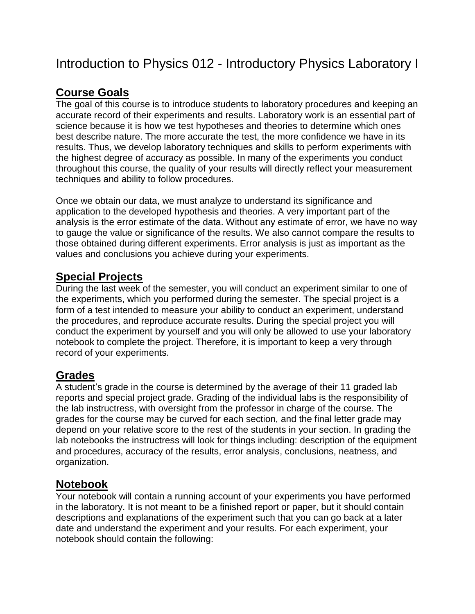## Introduction to Physics 012 - Introductory Physics Laboratory I

### **Course Goals**

The goal of this course is to introduce students to laboratory procedures and keeping an accurate record of their experiments and results. Laboratory work is an essential part of science because it is how we test hypotheses and theories to determine which ones best describe nature. The more accurate the test, the more confidence we have in its results. Thus, we develop laboratory techniques and skills to perform experiments with the highest degree of accuracy as possible. In many of the experiments you conduct throughout this course, the quality of your results will directly reflect your measurement techniques and ability to follow procedures.

Once we obtain our data, we must analyze to understand its significance and application to the developed hypothesis and theories. A very important part of the analysis is the error estimate of the data. Without any estimate of error, we have no way to gauge the value or significance of the results. We also cannot compare the results to those obtained during different experiments. Error analysis is just as important as the values and conclusions you achieve during your experiments.

#### **Special Projects**

During the last week of the semester, you will conduct an experiment similar to one of the experiments, which you performed during the semester. The special project is a form of a test intended to measure your ability to conduct an experiment, understand the procedures, and reproduce accurate results. During the special project you will conduct the experiment by yourself and you will only be allowed to use your laboratory notebook to complete the project. Therefore, it is important to keep a very through record of your experiments.

#### **Grades**

A student's grade in the course is determined by the average of their 11 graded lab reports and special project grade. Grading of the individual labs is the responsibility of the lab instructress, with oversight from the professor in charge of the course. The grades for the course may be curved for each section, and the final letter grade may depend on your relative score to the rest of the students in your section. In grading the lab notebooks the instructress will look for things including: description of the equipment and procedures, accuracy of the results, error analysis, conclusions, neatness, and organization.

#### **Notebook**

Your notebook will contain a running account of your experiments you have performed in the laboratory. It is not meant to be a finished report or paper, but it should contain descriptions and explanations of the experiment such that you can go back at a later date and understand the experiment and your results. For each experiment, your notebook should contain the following: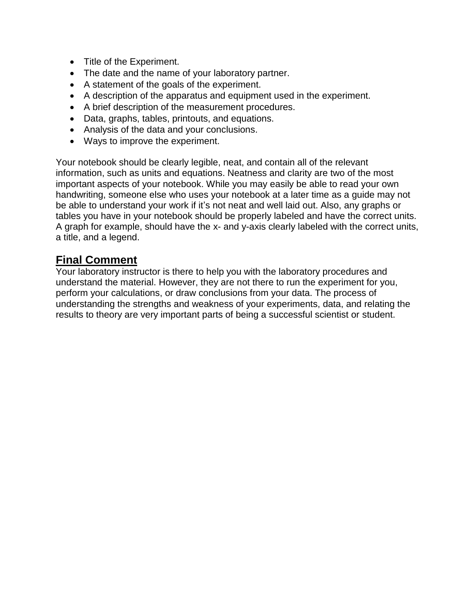- Title of the Experiment.
- The date and the name of your laboratory partner.
- A statement of the goals of the experiment.
- A description of the apparatus and equipment used in the experiment.
- A brief description of the measurement procedures.
- Data, graphs, tables, printouts, and equations.
- Analysis of the data and your conclusions.
- Ways to improve the experiment.

Your notebook should be clearly legible, neat, and contain all of the relevant information, such as units and equations. Neatness and clarity are two of the most important aspects of your notebook. While you may easily be able to read your own handwriting, someone else who uses your notebook at a later time as a guide may not be able to understand your work if it's not neat and well laid out. Also, any graphs or tables you have in your notebook should be properly labeled and have the correct units. A graph for example, should have the x- and y-axis clearly labeled with the correct units, a title, and a legend.

#### **Final Comment**

Your laboratory instructor is there to help you with the laboratory procedures and understand the material. However, they are not there to run the experiment for you, perform your calculations, or draw conclusions from your data. The process of understanding the strengths and weakness of your experiments, data, and relating the results to theory are very important parts of being a successful scientist or student.